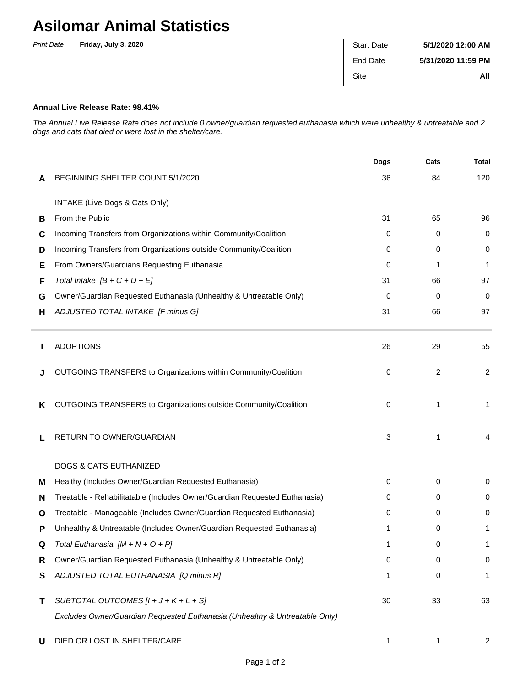## **Asilomar Animal Statistics**

| <b>Print Date</b> | Friday, July 3, 2020 | <b>Start Date</b> | 5/1/2020 12:00 AM  |
|-------------------|----------------------|-------------------|--------------------|
|                   |                      | End Date          | 5/31/2020 11:59 PM |
|                   |                      | Site              | All                |

## **Annual Live Release Rate: 98.41%**

The Annual Live Release Rate does not include 0 owner/guardian requested euthanasia which were unhealthy & untreatable and 2 dogs and cats that died or were lost in the shelter/care.

|   |                                                                             | <u>Dogs</u> | Cats | <u>Total</u>   |
|---|-----------------------------------------------------------------------------|-------------|------|----------------|
| A | BEGINNING SHELTER COUNT 5/1/2020                                            | 36          | 84   | 120            |
|   | INTAKE (Live Dogs & Cats Only)                                              |             |      |                |
| В | From the Public                                                             | 31          | 65   | 96             |
| С | Incoming Transfers from Organizations within Community/Coalition            | 0           | 0    | 0              |
| D | Incoming Transfers from Organizations outside Community/Coalition           | 0           | 0    | 0              |
| Е | From Owners/Guardians Requesting Euthanasia                                 | 0           | 1    | 1              |
| F | Total Intake $[B + C + D + E]$                                              | 31          | 66   | 97             |
| G | Owner/Guardian Requested Euthanasia (Unhealthy & Untreatable Only)          | 0           | 0    | 0              |
| н | ADJUSTED TOTAL INTAKE [F minus G]                                           | 31          | 66   | 97             |
|   | <b>ADOPTIONS</b>                                                            | 26          | 29   | 55             |
|   | OUTGOING TRANSFERS to Organizations within Community/Coalition              | 0           | 2    | $\overline{c}$ |
| Κ | OUTGOING TRANSFERS to Organizations outside Community/Coalition             | $\mathbf 0$ | 1    | $\mathbf{1}$   |
|   | RETURN TO OWNER/GUARDIAN                                                    | 3           | 1    | 4              |
|   | <b>DOGS &amp; CATS EUTHANIZED</b>                                           |             |      |                |
| M | Healthy (Includes Owner/Guardian Requested Euthanasia)                      | 0           | 0    | 0              |
| N | Treatable - Rehabilitatable (Includes Owner/Guardian Requested Euthanasia)  | 0           | 0    | 0              |
| O | Treatable - Manageable (Includes Owner/Guardian Requested Euthanasia)       | 0           | 0    | 0              |
| P | Unhealthy & Untreatable (Includes Owner/Guardian Requested Euthanasia)      | 1           | 0    | 1              |
|   | Total Euthanasia $[M + N + O + P]$                                          | 1           | 0    |                |
| R | Owner/Guardian Requested Euthanasia (Unhealthy & Untreatable Only)          | 0           | 0    | 0              |
| S | ADJUSTED TOTAL EUTHANASIA [Q minus R]                                       | 1           | 0    | 1              |
| Τ | SUBTOTAL OUTCOMES $[l + J + K + L + S]$                                     | 30          | 33   | 63             |
|   | Excludes Owner/Guardian Requested Euthanasia (Unhealthy & Untreatable Only) |             |      |                |
| U | DIED OR LOST IN SHELTER/CARE                                                | 1           | 1    | 2              |